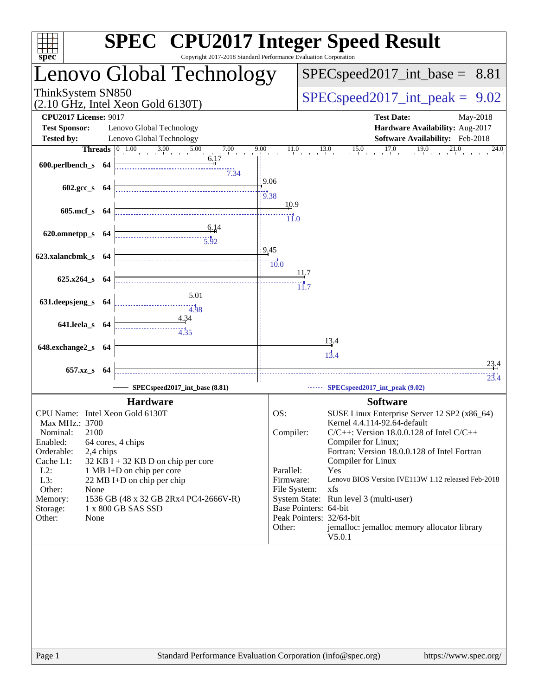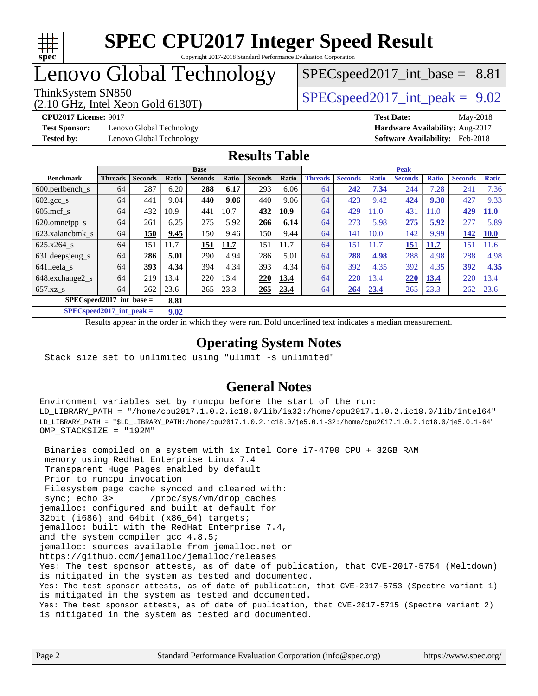

# Lenovo Global Technology

# $SPECspeed2017\_int\_base = 8.81$

(2.10 GHz, Intel Xeon Gold 6130T)

ThinkSystem SN850<br>  $SPECspeed2017$  int\_peak = 9.02

**[Test Sponsor:](http://www.spec.org/auto/cpu2017/Docs/result-fields.html#TestSponsor)** Lenovo Global Technology **[Hardware Availability:](http://www.spec.org/auto/cpu2017/Docs/result-fields.html#HardwareAvailability)** Aug-2017

**[CPU2017 License:](http://www.spec.org/auto/cpu2017/Docs/result-fields.html#CPU2017License)** 9017 **[Test Date:](http://www.spec.org/auto/cpu2017/Docs/result-fields.html#TestDate)** May-2018 **[Tested by:](http://www.spec.org/auto/cpu2017/Docs/result-fields.html#Testedby)** Lenovo Global Technology **[Software Availability:](http://www.spec.org/auto/cpu2017/Docs/result-fields.html#SoftwareAvailability)** Feb-2018

#### **[Results Table](http://www.spec.org/auto/cpu2017/Docs/result-fields.html#ResultsTable)**

|                                     | <b>Base</b>    |                |       |                | <b>Peak</b> |                |       |                |                |              |                |              |                |              |
|-------------------------------------|----------------|----------------|-------|----------------|-------------|----------------|-------|----------------|----------------|--------------|----------------|--------------|----------------|--------------|
| <b>Benchmark</b>                    | <b>Threads</b> | <b>Seconds</b> | Ratio | <b>Seconds</b> | Ratio       | <b>Seconds</b> | Ratio | <b>Threads</b> | <b>Seconds</b> | <b>Ratio</b> | <b>Seconds</b> | <b>Ratio</b> | <b>Seconds</b> | <b>Ratio</b> |
| $600.$ perlbench $_s$               | 64             | 287            | 6.20  | 288            | 6.17        | 293            | 6.06  | 64             | 242            | 7.34         | 244            | 7.28         | 241            | 7.36         |
| $602 \text{.} \text{gcc}\text{.}$ s | 64             | 441            | 9.04  | 440            | 9.06        | 440            | 9.06  | 64             | 423            | 9.42         | 424            | 9.38         | 427            | 9.33         |
| $605$ .mcf s                        | 64             | 432            | 10.9  | 441            | 10.7        | 432            | 10.9  | 64             | 429            | 11.0         | 431            | 11.0         | 429            | <b>11.0</b>  |
| 620.omnetpp_s                       | 64             | 261            | 6.25  | 275            | 5.92        | 266            | 6.14  | 64             | 273            | 5.98         | 275            | 5.92         | 277            | 5.89         |
| 623.xalancbmk s                     | 64             | 150            | 9.45  | 150            | 9.46        | 150            | 9.44  | 64             | 141            | 10.0         | 142            | 9.99         | 142            | <b>10.0</b>  |
| $625.x264$ s                        | 64             | 151            | 11.7  | 151            | 11.7        | 151            | 11.7  | 64             | 151            | 11.7         | 151            | 11.7         | 151            | 1.6          |
| 631.deepsjeng_s                     | 64             | 286            | 5.01  | 290            | 4.94        | 286            | 5.01  | 64             | 288            | 4.98         | 288            | 4.98         | 288            | 4.98         |
| 641.leela_s                         | 64             | 393            | 4.34  | 394            | 4.34        | 393            | 4.34  | 64             | 392            | 4.35         | 392            | 4.35         | 392            | 4.35         |
| 648.exchange2_s                     | 64             | 219            | 13.4  | 220            | 13.4        | 220            | 13.4  | 64             | 220            | 13.4         | 220            | 13.4         | 220            | 13.4         |
| $657.xz$ s                          | 64             | 262            | 23.6  | 265            | 23.3        | 265            | 23.4  | 64             | 264            | 23.4         | 265            | 23.3         | 262            | 23.6         |
| $SPEC speed2017$ int base =<br>8.81 |                |                |       |                |             |                |       |                |                |              |                |              |                |              |

**[SPECspeed2017\\_int\\_peak =](http://www.spec.org/auto/cpu2017/Docs/result-fields.html#SPECspeed2017intpeak) 9.02**

Results appear in the [order in which they were run.](http://www.spec.org/auto/cpu2017/Docs/result-fields.html#RunOrder) Bold underlined text [indicates a median measurement](http://www.spec.org/auto/cpu2017/Docs/result-fields.html#Median).

### **[Operating System Notes](http://www.spec.org/auto/cpu2017/Docs/result-fields.html#OperatingSystemNotes)**

Stack size set to unlimited using "ulimit -s unlimited"

### **[General Notes](http://www.spec.org/auto/cpu2017/Docs/result-fields.html#GeneralNotes)**

Environment variables set by runcpu before the start of the run: LD\_LIBRARY\_PATH = "/home/cpu2017.1.0.2.ic18.0/lib/ia32:/home/cpu2017.1.0.2.ic18.0/lib/intel64" LD\_LIBRARY\_PATH = "\$LD\_LIBRARY\_PATH:/home/cpu2017.1.0.2.ic18.0/je5.0.1-32:/home/cpu2017.1.0.2.ic18.0/je5.0.1-64" OMP\_STACKSIZE = "192M"

 Binaries compiled on a system with 1x Intel Core i7-4790 CPU + 32GB RAM memory using Redhat Enterprise Linux 7.4 Transparent Huge Pages enabled by default Prior to runcpu invocation Filesystem page cache synced and cleared with: sync; echo 3> /proc/sys/vm/drop\_caches jemalloc: configured and built at default for 32bit (i686) and 64bit (x86\_64) targets; jemalloc: built with the RedHat Enterprise 7.4, and the system compiler gcc 4.8.5; jemalloc: sources available from jemalloc.net or <https://github.com/jemalloc/jemalloc/releases> Yes: The test sponsor attests, as of date of publication, that CVE-2017-5754 (Meltdown) is mitigated in the system as tested and documented. Yes: The test sponsor attests, as of date of publication, that CVE-2017-5753 (Spectre variant 1) is mitigated in the system as tested and documented. Yes: The test sponsor attests, as of date of publication, that CVE-2017-5715 (Spectre variant 2) is mitigated in the system as tested and documented.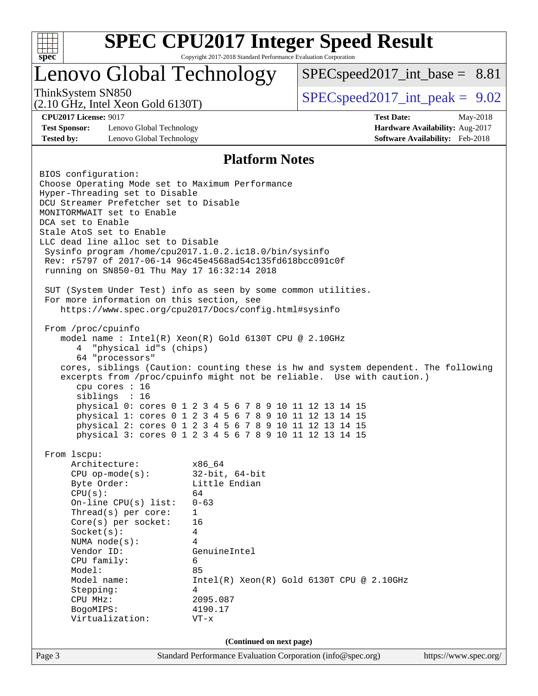

## Lenovo Global Technology

 $SPEC speed2017\_int\_base = 8.81$ 

(2.10 GHz, Intel Xeon Gold 6130T)

ThinkSystem SN850<br>  $SPEC speed2017$  int\_peak = 9.02

**[Test Sponsor:](http://www.spec.org/auto/cpu2017/Docs/result-fields.html#TestSponsor)** Lenovo Global Technology **[Hardware Availability:](http://www.spec.org/auto/cpu2017/Docs/result-fields.html#HardwareAvailability)** Aug-2017 **[Tested by:](http://www.spec.org/auto/cpu2017/Docs/result-fields.html#Testedby)** Lenovo Global Technology **[Software Availability:](http://www.spec.org/auto/cpu2017/Docs/result-fields.html#SoftwareAvailability)** Feb-2018

**[CPU2017 License:](http://www.spec.org/auto/cpu2017/Docs/result-fields.html#CPU2017License)** 9017 **[Test Date:](http://www.spec.org/auto/cpu2017/Docs/result-fields.html#TestDate)** May-2018

#### **[Platform Notes](http://www.spec.org/auto/cpu2017/Docs/result-fields.html#PlatformNotes)**

Page 3 Standard Performance Evaluation Corporation [\(info@spec.org\)](mailto:info@spec.org) <https://www.spec.org/> BIOS configuration: Choose Operating Mode set to Maximum Performance Hyper-Threading set to Disable DCU Streamer Prefetcher set to Disable MONITORMWAIT set to Enable DCA set to Enable Stale AtoS set to Enable LLC dead line alloc set to Disable Sysinfo program /home/cpu2017.1.0.2.ic18.0/bin/sysinfo Rev: r5797 of 2017-06-14 96c45e4568ad54c135fd618bcc091c0f running on SN850-01 Thu May 17 16:32:14 2018 SUT (System Under Test) info as seen by some common utilities. For more information on this section, see <https://www.spec.org/cpu2017/Docs/config.html#sysinfo> From /proc/cpuinfo model name : Intel(R) Xeon(R) Gold 6130T CPU @ 2.10GHz 4 "physical id"s (chips) 64 "processors" cores, siblings (Caution: counting these is hw and system dependent. The following excerpts from /proc/cpuinfo might not be reliable. Use with caution.) cpu cores : 16 siblings : 16 physical 0: cores 0 1 2 3 4 5 6 7 8 9 10 11 12 13 14 15 physical 1: cores 0 1 2 3 4 5 6 7 8 9 10 11 12 13 14 15 physical 2: cores 0 1 2 3 4 5 6 7 8 9 10 11 12 13 14 15 physical 3: cores 0 1 2 3 4 5 6 7 8 9 10 11 12 13 14 15 From lscpu: Architecture: x86\_64 CPU op-mode(s): 32-bit, 64-bit Byte Order: Little Endian  $CPU(s):$  64 On-line CPU(s) list: 0-63 Thread(s) per core: 1 Core(s) per socket: 16 Socket(s): 4 NUMA node(s): 4 Vendor ID: GenuineIntel CPU family: 6 Model: 85 Model name:  $Intel(R)$  Xeon(R) Gold 6130T CPU @ 2.10GHz Stepping: 4 CPU MHz: 2095.087 BogoMIPS: 4190.17 Virtualization: VT-x **(Continued on next page)**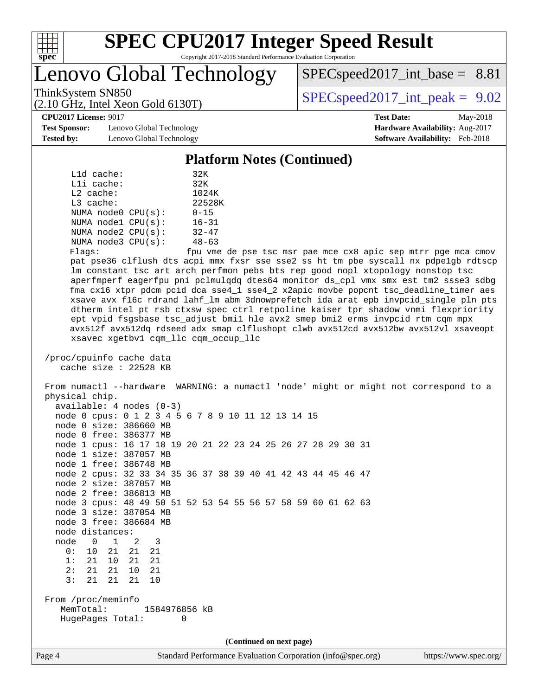

Lenovo Global Technology

 $SPECspeed2017\_int\_base = 8.81$ 

ThinkSystem SN850<br>  $SPEC speed2017$  int\_peak = 9.02

**[CPU2017 License:](http://www.spec.org/auto/cpu2017/Docs/result-fields.html#CPU2017License)** 9017 **[Test Date:](http://www.spec.org/auto/cpu2017/Docs/result-fields.html#TestDate)** May-2018

**[Test Sponsor:](http://www.spec.org/auto/cpu2017/Docs/result-fields.html#TestSponsor)** Lenovo Global Technology **[Hardware Availability:](http://www.spec.org/auto/cpu2017/Docs/result-fields.html#HardwareAvailability)** Aug-2017 **[Tested by:](http://www.spec.org/auto/cpu2017/Docs/result-fields.html#Testedby)** Lenovo Global Technology **[Software Availability:](http://www.spec.org/auto/cpu2017/Docs/result-fields.html#SoftwareAvailability)** Feb-2018

(2.10 GHz, Intel Xeon Gold 6130T)

#### **[Platform Notes \(Continued\)](http://www.spec.org/auto/cpu2017/Docs/result-fields.html#PlatformNotes)**

| $L1d$ cache:       | 32K       |
|--------------------|-----------|
| Lli cache:         | 32K       |
| $L2$ cache:        | 1024K     |
| $L3$ cache:        | 22528K    |
| NUMA node0 CPU(s): | $0 - 15$  |
| NUMA nodel CPU(s): | $16 - 31$ |
| NUMA node2 CPU(s): | $32 - 47$ |
| NUMA node3 CPU(s): | $48 - 63$ |
|                    |           |

Flags: fpu vme de pse tsc msr pae mce cx8 apic sep mtrr pge mca cmov pat pse36 clflush dts acpi mmx fxsr sse sse2 ss ht tm pbe syscall nx pdpe1gb rdtscp lm constant\_tsc art arch\_perfmon pebs bts rep\_good nopl xtopology nonstop\_tsc aperfmperf eagerfpu pni pclmulqdq dtes64 monitor ds\_cpl vmx smx est tm2 ssse3 sdbg fma cx16 xtpr pdcm pcid dca sse4\_1 sse4\_2 x2apic movbe popcnt tsc\_deadline\_timer aes xsave avx f16c rdrand lahf\_lm abm 3dnowprefetch ida arat epb invpcid\_single pln pts dtherm intel\_pt rsb\_ctxsw spec\_ctrl retpoline kaiser tpr\_shadow vnmi flexpriority ept vpid fsgsbase tsc\_adjust bmi1 hle avx2 smep bmi2 erms invpcid rtm cqm mpx avx512f avx512dq rdseed adx smap clflushopt clwb avx512cd avx512bw avx512vl xsaveopt xsavec xgetbv1 cqm\_llc cqm\_occup\_llc

 /proc/cpuinfo cache data cache size : 22528 KB

 From numactl --hardware WARNING: a numactl 'node' might or might not correspond to a physical chip.

 available: 4 nodes (0-3) node 0 cpus: 0 1 2 3 4 5 6 7 8 9 10 11 12 13 14 15 node 0 size: 386660 MB node 0 free: 386377 MB node 1 cpus: 16 17 18 19 20 21 22 23 24 25 26 27 28 29 30 31 node 1 size: 387057 MB node 1 free: 386748 MB node 2 cpus: 32 33 34 35 36 37 38 39 40 41 42 43 44 45 46 47 node 2 size: 387057 MB node 2 free: 386813 MB node 3 cpus: 48 49 50 51 52 53 54 55 56 57 58 59 60 61 62 63 node 3 size: 387054 MB node 3 free: 386684 MB node distances: node 0 1 2 3 0: 10 21 21 21 1: 21 10 21 21 2: 21 21 10 21 3: 21 21 21 10 From /proc/meminfo MemTotal: 1584976856 kB HugePages\_Total: 0 **(Continued on next page)**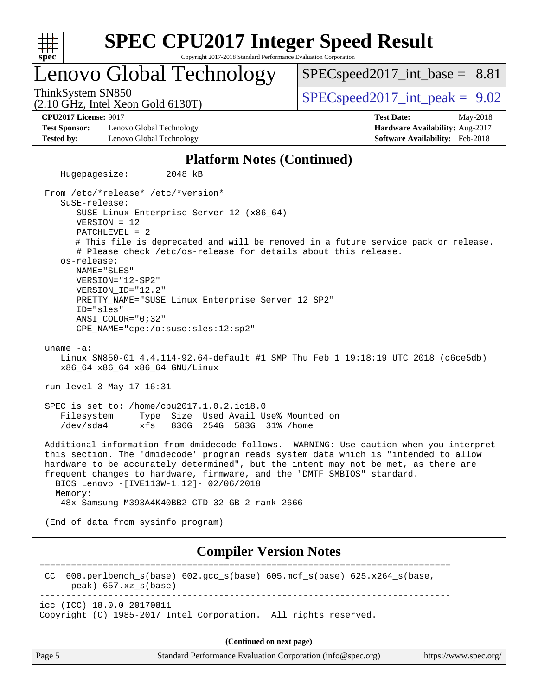

**[SPEC CPU2017 Integer Speed Result](http://www.spec.org/auto/cpu2017/Docs/result-fields.html#SPECCPU2017IntegerSpeedResult)**

Copyright 2017-2018 Standard Performance Evaluation Corporation

## Lenovo Global Technology

 $SPECspeed2017\_int\_base = 8.81$ 

(2.10 GHz, Intel Xeon Gold 6130T)

ThinkSystem SN850<br>  $SPECspeed2017$  int\_peak = 9.02

**[Test Sponsor:](http://www.spec.org/auto/cpu2017/Docs/result-fields.html#TestSponsor)** Lenovo Global Technology **[Hardware Availability:](http://www.spec.org/auto/cpu2017/Docs/result-fields.html#HardwareAvailability)** Aug-2017 **[Tested by:](http://www.spec.org/auto/cpu2017/Docs/result-fields.html#Testedby)** Lenovo Global Technology **[Software Availability:](http://www.spec.org/auto/cpu2017/Docs/result-fields.html#SoftwareAvailability)** Feb-2018

**[CPU2017 License:](http://www.spec.org/auto/cpu2017/Docs/result-fields.html#CPU2017License)** 9017 **[Test Date:](http://www.spec.org/auto/cpu2017/Docs/result-fields.html#TestDate)** May-2018

#### **[Platform Notes \(Continued\)](http://www.spec.org/auto/cpu2017/Docs/result-fields.html#PlatformNotes)**

 Hugepagesize: 2048 kB From /etc/\*release\* /etc/\*version\* SuSE-release: SUSE Linux Enterprise Server 12 (x86\_64) VERSION = 12 PATCHLEVEL = 2 # This file is deprecated and will be removed in a future service pack or release. # Please check /etc/os-release for details about this release. os-release: NAME="SLES" VERSION="12-SP2" VERSION\_ID="12.2" PRETTY\_NAME="SUSE Linux Enterprise Server 12 SP2" ID="sles" ANSI\_COLOR="0;32" CPE\_NAME="cpe:/o:suse:sles:12:sp2" uname -a: Linux SN850-01 4.4.114-92.64-default #1 SMP Thu Feb 1 19:18:19 UTC 2018 (c6ce5db) x86\_64 x86\_64 x86\_64 GNU/Linux run-level 3 May 17 16:31 SPEC is set to: /home/cpu2017.1.0.2.ic18.0 Filesystem Type Size Used Avail Use% Mounted on /dev/sda4 xfs 836G 254G 583G 31% /home Additional information from dmidecode follows. WARNING: Use caution when you interpret this section. The 'dmidecode' program reads system data which is "intended to allow hardware to be accurately determined", but the intent may not be met, as there are frequent changes to hardware, firmware, and the "DMTF SMBIOS" standard. BIOS Lenovo -[IVE113W-1.12]- 02/06/2018 Memory: 48x Samsung M393A4K40BB2-CTD 32 GB 2 rank 2666 (End of data from sysinfo program) **[Compiler Version Notes](http://www.spec.org/auto/cpu2017/Docs/result-fields.html#CompilerVersionNotes)** ============================================================================== CC 600.perlbench\_s(base) 602.gcc\_s(base) 605.mcf\_s(base) 625.x264\_s(base, peak) 657.xz\_s(base) ----------------------------------------------------------------------------- icc (ICC) 18.0.0 20170811 Copyright (C) 1985-2017 Intel Corporation. All rights reserved.

**(Continued on next page)**

Page 5 Standard Performance Evaluation Corporation [\(info@spec.org\)](mailto:info@spec.org) <https://www.spec.org/>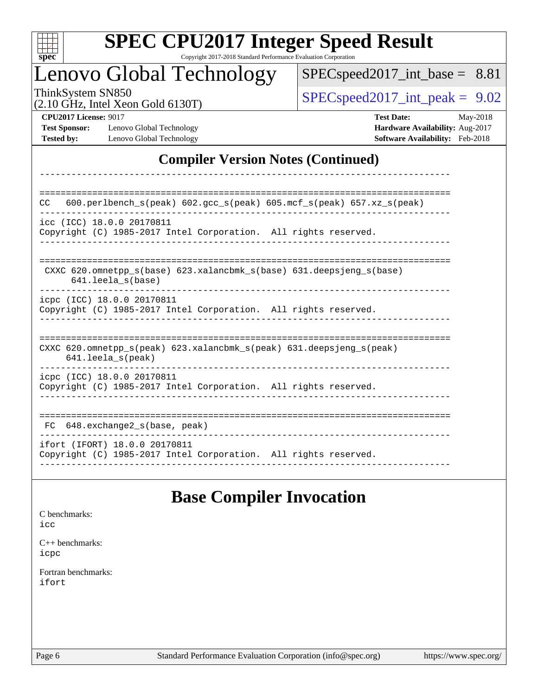| c<br>۳<br>Ņ,<br>H<br>٠ |  |  |  |  |  |
|------------------------|--|--|--|--|--|

# **[SPEC CPU2017 Integer Speed Result](http://www.spec.org/auto/cpu2017/Docs/result-fields.html#SPECCPU2017IntegerSpeedResult)**

Copyright 2017-2018 Standard Performance Evaluation Corporation

------------------------------------------------------------------------------

## Lenovo Global Technology

[SPECspeed2017\\_int\\_base =](http://www.spec.org/auto/cpu2017/Docs/result-fields.html#SPECspeed2017intbase) 8.81

(2.10 GHz, Intel Xeon Gold 6130T)

 $SPEC speed2017\_int\_peak = 9.02$ 

**[Test Sponsor:](http://www.spec.org/auto/cpu2017/Docs/result-fields.html#TestSponsor)** Lenovo Global Technology **[Hardware Availability:](http://www.spec.org/auto/cpu2017/Docs/result-fields.html#HardwareAvailability)** Aug-2017 **[Tested by:](http://www.spec.org/auto/cpu2017/Docs/result-fields.html#Testedby)** Lenovo Global Technology **[Software Availability:](http://www.spec.org/auto/cpu2017/Docs/result-fields.html#SoftwareAvailability)** Feb-2018

**[CPU2017 License:](http://www.spec.org/auto/cpu2017/Docs/result-fields.html#CPU2017License)** 9017 **[Test Date:](http://www.spec.org/auto/cpu2017/Docs/result-fields.html#TestDate)** May-2018

### **[Compiler Version Notes \(Continued\)](http://www.spec.org/auto/cpu2017/Docs/result-fields.html#CompilerVersionNotes)**

| 600.perlbench_s(peak) 602.gcc_s(peak) 605.mcf_s(peak) 657.xz_s(peak)<br>CC                           |  |  |  |  |  |
|------------------------------------------------------------------------------------------------------|--|--|--|--|--|
| icc (ICC) 18.0.0 20170811<br>Copyright (C) 1985-2017 Intel Corporation. All rights reserved.         |  |  |  |  |  |
| CXXC 620.omnetpp $s(base)$ 623.xalancbmk $s(base)$ 631.deepsjeng $s(base)$<br>$641.$ leela $s(base)$ |  |  |  |  |  |
| icpc (ICC) 18.0.0 20170811<br>Copyright (C) 1985-2017 Intel Corporation. All rights reserved.        |  |  |  |  |  |
| CXXC 620.omnetpp_s(peak) 623.xalancbmk_s(peak) 631.deepsjeng_s(peak)<br>$641.$ leela $s$ (peak)      |  |  |  |  |  |
| icpc (ICC) 18.0.0 20170811<br>Copyright (C) 1985-2017 Intel Corporation. All rights reserved.        |  |  |  |  |  |
| $648$ . exchange2 $s$ (base, peak)<br>FC                                                             |  |  |  |  |  |
| ifort (IFORT) 18.0.0 20170811<br>Copyright (C) 1985-2017 Intel Corporation. All rights reserved.     |  |  |  |  |  |

## **[Base Compiler Invocation](http://www.spec.org/auto/cpu2017/Docs/result-fields.html#BaseCompilerInvocation)**

| C benchmarks:        |
|----------------------|
| icc                  |
| $C_{++}$ benchmarks: |

[icpc](http://www.spec.org/cpu2017/results/res2018q2/cpu2017-20180525-05789.flags.html#user_CXXbase_intel_icpc_18.0_c510b6838c7f56d33e37e94d029a35b4a7bccf4766a728ee175e80a419847e808290a9b78be685c44ab727ea267ec2f070ec5dc83b407c0218cded6866a35d07)

[Fortran benchmarks](http://www.spec.org/auto/cpu2017/Docs/result-fields.html#Fortranbenchmarks): [ifort](http://www.spec.org/cpu2017/results/res2018q2/cpu2017-20180525-05789.flags.html#user_FCbase_intel_ifort_18.0_8111460550e3ca792625aed983ce982f94888b8b503583aa7ba2b8303487b4d8a21a13e7191a45c5fd58ff318f48f9492884d4413fa793fd88dd292cad7027ca)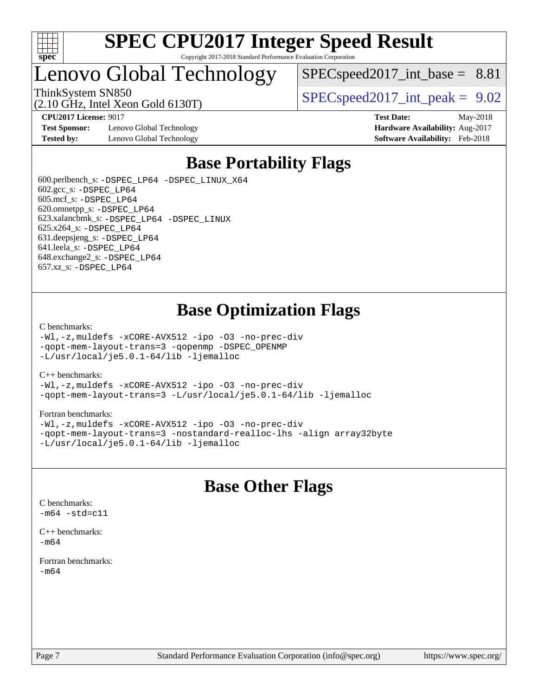

## Lenovo Global Technology

 $SPEC speed2017\_int\_base = 8.81$ 

(2.10 GHz, Intel Xeon Gold 6130T)

ThinkSystem SN850<br>  $SPEC speed2017$  int\_peak = 9.02

**[Test Sponsor:](http://www.spec.org/auto/cpu2017/Docs/result-fields.html#TestSponsor)** Lenovo Global Technology **[Hardware Availability:](http://www.spec.org/auto/cpu2017/Docs/result-fields.html#HardwareAvailability)** Aug-2017 **[Tested by:](http://www.spec.org/auto/cpu2017/Docs/result-fields.html#Testedby)** Lenovo Global Technology **[Software Availability:](http://www.spec.org/auto/cpu2017/Docs/result-fields.html#SoftwareAvailability)** Feb-2018

**[CPU2017 License:](http://www.spec.org/auto/cpu2017/Docs/result-fields.html#CPU2017License)** 9017 **[Test Date:](http://www.spec.org/auto/cpu2017/Docs/result-fields.html#TestDate)** May-2018

## **[Base Portability Flags](http://www.spec.org/auto/cpu2017/Docs/result-fields.html#BasePortabilityFlags)**

 600.perlbench\_s: [-DSPEC\\_LP64](http://www.spec.org/cpu2017/results/res2018q2/cpu2017-20180525-05789.flags.html#b600.perlbench_s_basePORTABILITY_DSPEC_LP64) [-DSPEC\\_LINUX\\_X64](http://www.spec.org/cpu2017/results/res2018q2/cpu2017-20180525-05789.flags.html#b600.perlbench_s_baseCPORTABILITY_DSPEC_LINUX_X64) 602.gcc\_s: [-DSPEC\\_LP64](http://www.spec.org/cpu2017/results/res2018q2/cpu2017-20180525-05789.flags.html#suite_basePORTABILITY602_gcc_s_DSPEC_LP64) 605.mcf\_s: [-DSPEC\\_LP64](http://www.spec.org/cpu2017/results/res2018q2/cpu2017-20180525-05789.flags.html#suite_basePORTABILITY605_mcf_s_DSPEC_LP64) 620.omnetpp\_s: [-DSPEC\\_LP64](http://www.spec.org/cpu2017/results/res2018q2/cpu2017-20180525-05789.flags.html#suite_basePORTABILITY620_omnetpp_s_DSPEC_LP64) 623.xalancbmk\_s: [-DSPEC\\_LP64](http://www.spec.org/cpu2017/results/res2018q2/cpu2017-20180525-05789.flags.html#suite_basePORTABILITY623_xalancbmk_s_DSPEC_LP64) [-DSPEC\\_LINUX](http://www.spec.org/cpu2017/results/res2018q2/cpu2017-20180525-05789.flags.html#b623.xalancbmk_s_baseCXXPORTABILITY_DSPEC_LINUX) 625.x264\_s: [-DSPEC\\_LP64](http://www.spec.org/cpu2017/results/res2018q2/cpu2017-20180525-05789.flags.html#suite_basePORTABILITY625_x264_s_DSPEC_LP64) 631.deepsjeng\_s: [-DSPEC\\_LP64](http://www.spec.org/cpu2017/results/res2018q2/cpu2017-20180525-05789.flags.html#suite_basePORTABILITY631_deepsjeng_s_DSPEC_LP64) 641.leela\_s: [-DSPEC\\_LP64](http://www.spec.org/cpu2017/results/res2018q2/cpu2017-20180525-05789.flags.html#suite_basePORTABILITY641_leela_s_DSPEC_LP64) 648.exchange2\_s: [-DSPEC\\_LP64](http://www.spec.org/cpu2017/results/res2018q2/cpu2017-20180525-05789.flags.html#suite_basePORTABILITY648_exchange2_s_DSPEC_LP64) 657.xz\_s: [-DSPEC\\_LP64](http://www.spec.org/cpu2017/results/res2018q2/cpu2017-20180525-05789.flags.html#suite_basePORTABILITY657_xz_s_DSPEC_LP64)

## **[Base Optimization Flags](http://www.spec.org/auto/cpu2017/Docs/result-fields.html#BaseOptimizationFlags)**

#### [C benchmarks](http://www.spec.org/auto/cpu2017/Docs/result-fields.html#Cbenchmarks):

[-Wl,-z,muldefs](http://www.spec.org/cpu2017/results/res2018q2/cpu2017-20180525-05789.flags.html#user_CCbase_link_force_multiple1_b4cbdb97b34bdee9ceefcfe54f4c8ea74255f0b02a4b23e853cdb0e18eb4525ac79b5a88067c842dd0ee6996c24547a27a4b99331201badda8798ef8a743f577) [-xCORE-AVX512](http://www.spec.org/cpu2017/results/res2018q2/cpu2017-20180525-05789.flags.html#user_CCbase_f-xCORE-AVX512) [-ipo](http://www.spec.org/cpu2017/results/res2018q2/cpu2017-20180525-05789.flags.html#user_CCbase_f-ipo) [-O3](http://www.spec.org/cpu2017/results/res2018q2/cpu2017-20180525-05789.flags.html#user_CCbase_f-O3) [-no-prec-div](http://www.spec.org/cpu2017/results/res2018q2/cpu2017-20180525-05789.flags.html#user_CCbase_f-no-prec-div) [-qopt-mem-layout-trans=3](http://www.spec.org/cpu2017/results/res2018q2/cpu2017-20180525-05789.flags.html#user_CCbase_f-qopt-mem-layout-trans_de80db37974c74b1f0e20d883f0b675c88c3b01e9d123adea9b28688d64333345fb62bc4a798493513fdb68f60282f9a726aa07f478b2f7113531aecce732043) [-qopenmp](http://www.spec.org/cpu2017/results/res2018q2/cpu2017-20180525-05789.flags.html#user_CCbase_qopenmp_16be0c44f24f464004c6784a7acb94aca937f053568ce72f94b139a11c7c168634a55f6653758ddd83bcf7b8463e8028bb0b48b77bcddc6b78d5d95bb1df2967) [-DSPEC\\_OPENMP](http://www.spec.org/cpu2017/results/res2018q2/cpu2017-20180525-05789.flags.html#suite_CCbase_DSPEC_OPENMP) [-L/usr/local/je5.0.1-64/lib](http://www.spec.org/cpu2017/results/res2018q2/cpu2017-20180525-05789.flags.html#user_CCbase_jemalloc_link_path64_4b10a636b7bce113509b17f3bd0d6226c5fb2346b9178c2d0232c14f04ab830f976640479e5c33dc2bcbbdad86ecfb6634cbbd4418746f06f368b512fced5394) [-ljemalloc](http://www.spec.org/cpu2017/results/res2018q2/cpu2017-20180525-05789.flags.html#user_CCbase_jemalloc_link_lib_d1249b907c500fa1c0672f44f562e3d0f79738ae9e3c4a9c376d49f265a04b9c99b167ecedbf6711b3085be911c67ff61f150a17b3472be731631ba4d0471706)

#### [C++ benchmarks:](http://www.spec.org/auto/cpu2017/Docs/result-fields.html#CXXbenchmarks)

[-Wl,-z,muldefs](http://www.spec.org/cpu2017/results/res2018q2/cpu2017-20180525-05789.flags.html#user_CXXbase_link_force_multiple1_b4cbdb97b34bdee9ceefcfe54f4c8ea74255f0b02a4b23e853cdb0e18eb4525ac79b5a88067c842dd0ee6996c24547a27a4b99331201badda8798ef8a743f577) [-xCORE-AVX512](http://www.spec.org/cpu2017/results/res2018q2/cpu2017-20180525-05789.flags.html#user_CXXbase_f-xCORE-AVX512) [-ipo](http://www.spec.org/cpu2017/results/res2018q2/cpu2017-20180525-05789.flags.html#user_CXXbase_f-ipo) [-O3](http://www.spec.org/cpu2017/results/res2018q2/cpu2017-20180525-05789.flags.html#user_CXXbase_f-O3) [-no-prec-div](http://www.spec.org/cpu2017/results/res2018q2/cpu2017-20180525-05789.flags.html#user_CXXbase_f-no-prec-div) [-qopt-mem-layout-trans=3](http://www.spec.org/cpu2017/results/res2018q2/cpu2017-20180525-05789.flags.html#user_CXXbase_f-qopt-mem-layout-trans_de80db37974c74b1f0e20d883f0b675c88c3b01e9d123adea9b28688d64333345fb62bc4a798493513fdb68f60282f9a726aa07f478b2f7113531aecce732043) [-L/usr/local/je5.0.1-64/lib](http://www.spec.org/cpu2017/results/res2018q2/cpu2017-20180525-05789.flags.html#user_CXXbase_jemalloc_link_path64_4b10a636b7bce113509b17f3bd0d6226c5fb2346b9178c2d0232c14f04ab830f976640479e5c33dc2bcbbdad86ecfb6634cbbd4418746f06f368b512fced5394) [-ljemalloc](http://www.spec.org/cpu2017/results/res2018q2/cpu2017-20180525-05789.flags.html#user_CXXbase_jemalloc_link_lib_d1249b907c500fa1c0672f44f562e3d0f79738ae9e3c4a9c376d49f265a04b9c99b167ecedbf6711b3085be911c67ff61f150a17b3472be731631ba4d0471706)

#### [Fortran benchmarks](http://www.spec.org/auto/cpu2017/Docs/result-fields.html#Fortranbenchmarks):

[-Wl,-z,muldefs](http://www.spec.org/cpu2017/results/res2018q2/cpu2017-20180525-05789.flags.html#user_FCbase_link_force_multiple1_b4cbdb97b34bdee9ceefcfe54f4c8ea74255f0b02a4b23e853cdb0e18eb4525ac79b5a88067c842dd0ee6996c24547a27a4b99331201badda8798ef8a743f577) [-xCORE-AVX512](http://www.spec.org/cpu2017/results/res2018q2/cpu2017-20180525-05789.flags.html#user_FCbase_f-xCORE-AVX512) [-ipo](http://www.spec.org/cpu2017/results/res2018q2/cpu2017-20180525-05789.flags.html#user_FCbase_f-ipo) [-O3](http://www.spec.org/cpu2017/results/res2018q2/cpu2017-20180525-05789.flags.html#user_FCbase_f-O3) [-no-prec-div](http://www.spec.org/cpu2017/results/res2018q2/cpu2017-20180525-05789.flags.html#user_FCbase_f-no-prec-div) [-qopt-mem-layout-trans=3](http://www.spec.org/cpu2017/results/res2018q2/cpu2017-20180525-05789.flags.html#user_FCbase_f-qopt-mem-layout-trans_de80db37974c74b1f0e20d883f0b675c88c3b01e9d123adea9b28688d64333345fb62bc4a798493513fdb68f60282f9a726aa07f478b2f7113531aecce732043) [-nostandard-realloc-lhs](http://www.spec.org/cpu2017/results/res2018q2/cpu2017-20180525-05789.flags.html#user_FCbase_f_2003_std_realloc_82b4557e90729c0f113870c07e44d33d6f5a304b4f63d4c15d2d0f1fab99f5daaed73bdb9275d9ae411527f28b936061aa8b9c8f2d63842963b95c9dd6426b8a) [-align array32byte](http://www.spec.org/cpu2017/results/res2018q2/cpu2017-20180525-05789.flags.html#user_FCbase_align_array32byte_b982fe038af199962ba9a80c053b8342c548c85b40b8e86eb3cc33dee0d7986a4af373ac2d51c3f7cf710a18d62fdce2948f201cd044323541f22fc0fffc51b6) [-L/usr/local/je5.0.1-64/lib](http://www.spec.org/cpu2017/results/res2018q2/cpu2017-20180525-05789.flags.html#user_FCbase_jemalloc_link_path64_4b10a636b7bce113509b17f3bd0d6226c5fb2346b9178c2d0232c14f04ab830f976640479e5c33dc2bcbbdad86ecfb6634cbbd4418746f06f368b512fced5394) [-ljemalloc](http://www.spec.org/cpu2017/results/res2018q2/cpu2017-20180525-05789.flags.html#user_FCbase_jemalloc_link_lib_d1249b907c500fa1c0672f44f562e3d0f79738ae9e3c4a9c376d49f265a04b9c99b167ecedbf6711b3085be911c67ff61f150a17b3472be731631ba4d0471706)

## **[Base Other Flags](http://www.spec.org/auto/cpu2017/Docs/result-fields.html#BaseOtherFlags)**

[C benchmarks](http://www.spec.org/auto/cpu2017/Docs/result-fields.html#Cbenchmarks):  $-m64 - std= c11$  $-m64 - std= c11$ 

[C++ benchmarks:](http://www.spec.org/auto/cpu2017/Docs/result-fields.html#CXXbenchmarks) [-m64](http://www.spec.org/cpu2017/results/res2018q2/cpu2017-20180525-05789.flags.html#user_CXXbase_intel_intel64_18.0_af43caccfc8ded86e7699f2159af6efc7655f51387b94da716254467f3c01020a5059329e2569e4053f409e7c9202a7efc638f7a6d1ffb3f52dea4a3e31d82ab)

[Fortran benchmarks](http://www.spec.org/auto/cpu2017/Docs/result-fields.html#Fortranbenchmarks): [-m64](http://www.spec.org/cpu2017/results/res2018q2/cpu2017-20180525-05789.flags.html#user_FCbase_intel_intel64_18.0_af43caccfc8ded86e7699f2159af6efc7655f51387b94da716254467f3c01020a5059329e2569e4053f409e7c9202a7efc638f7a6d1ffb3f52dea4a3e31d82ab)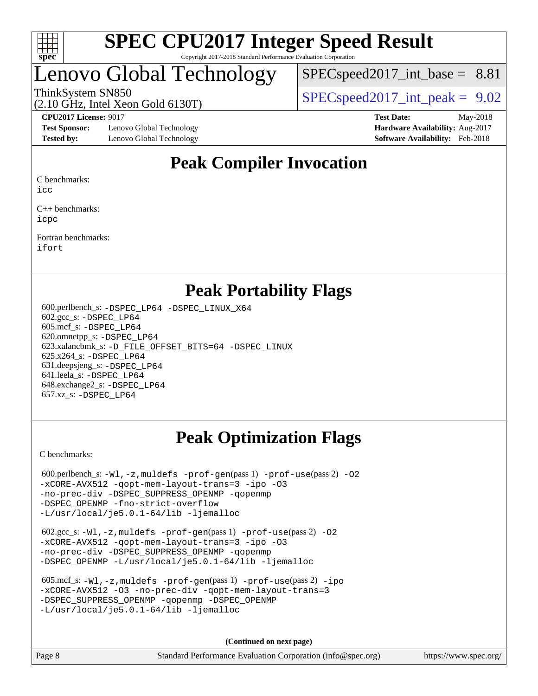

## Lenovo Global Technology

 $SPECspeed2017\_int\_base = 8.81$ 

ThinkSystem SN850<br>  $SPEC speed2017$  int\_peak = 9.02

**[Test Sponsor:](http://www.spec.org/auto/cpu2017/Docs/result-fields.html#TestSponsor)** Lenovo Global Technology **[Hardware Availability:](http://www.spec.org/auto/cpu2017/Docs/result-fields.html#HardwareAvailability)** Aug-2017 **[Tested by:](http://www.spec.org/auto/cpu2017/Docs/result-fields.html#Testedby)** Lenovo Global Technology **[Software Availability:](http://www.spec.org/auto/cpu2017/Docs/result-fields.html#SoftwareAvailability)** Feb-2018

(2.10 GHz, Intel Xeon Gold 6130T)

**[CPU2017 License:](http://www.spec.org/auto/cpu2017/Docs/result-fields.html#CPU2017License)** 9017 **[Test Date:](http://www.spec.org/auto/cpu2017/Docs/result-fields.html#TestDate)** May-2018

## **[Peak Compiler Invocation](http://www.spec.org/auto/cpu2017/Docs/result-fields.html#PeakCompilerInvocation)**

[C benchmarks](http://www.spec.org/auto/cpu2017/Docs/result-fields.html#Cbenchmarks):

[icc](http://www.spec.org/cpu2017/results/res2018q2/cpu2017-20180525-05789.flags.html#user_CCpeak_intel_icc_18.0_66fc1ee009f7361af1fbd72ca7dcefbb700085f36577c54f309893dd4ec40d12360134090235512931783d35fd58c0460139e722d5067c5574d8eaf2b3e37e92)

[C++ benchmarks:](http://www.spec.org/auto/cpu2017/Docs/result-fields.html#CXXbenchmarks) [icpc](http://www.spec.org/cpu2017/results/res2018q2/cpu2017-20180525-05789.flags.html#user_CXXpeak_intel_icpc_18.0_c510b6838c7f56d33e37e94d029a35b4a7bccf4766a728ee175e80a419847e808290a9b78be685c44ab727ea267ec2f070ec5dc83b407c0218cded6866a35d07)

[Fortran benchmarks](http://www.spec.org/auto/cpu2017/Docs/result-fields.html#Fortranbenchmarks): [ifort](http://www.spec.org/cpu2017/results/res2018q2/cpu2017-20180525-05789.flags.html#user_FCpeak_intel_ifort_18.0_8111460550e3ca792625aed983ce982f94888b8b503583aa7ba2b8303487b4d8a21a13e7191a45c5fd58ff318f48f9492884d4413fa793fd88dd292cad7027ca)

### **[Peak Portability Flags](http://www.spec.org/auto/cpu2017/Docs/result-fields.html#PeakPortabilityFlags)**

 600.perlbench\_s: [-DSPEC\\_LP64](http://www.spec.org/cpu2017/results/res2018q2/cpu2017-20180525-05789.flags.html#b600.perlbench_s_peakPORTABILITY_DSPEC_LP64) [-DSPEC\\_LINUX\\_X64](http://www.spec.org/cpu2017/results/res2018q2/cpu2017-20180525-05789.flags.html#b600.perlbench_s_peakCPORTABILITY_DSPEC_LINUX_X64) 602.gcc\_s: [-DSPEC\\_LP64](http://www.spec.org/cpu2017/results/res2018q2/cpu2017-20180525-05789.flags.html#suite_peakPORTABILITY602_gcc_s_DSPEC_LP64) 605.mcf\_s: [-DSPEC\\_LP64](http://www.spec.org/cpu2017/results/res2018q2/cpu2017-20180525-05789.flags.html#suite_peakPORTABILITY605_mcf_s_DSPEC_LP64) 620.omnetpp\_s: [-DSPEC\\_LP64](http://www.spec.org/cpu2017/results/res2018q2/cpu2017-20180525-05789.flags.html#suite_peakPORTABILITY620_omnetpp_s_DSPEC_LP64) 623.xalancbmk\_s: [-D\\_FILE\\_OFFSET\\_BITS=64](http://www.spec.org/cpu2017/results/res2018q2/cpu2017-20180525-05789.flags.html#user_peakPORTABILITY623_xalancbmk_s_file_offset_bits_64_5ae949a99b284ddf4e95728d47cb0843d81b2eb0e18bdfe74bbf0f61d0b064f4bda2f10ea5eb90e1dcab0e84dbc592acfc5018bc955c18609f94ddb8d550002c) [-DSPEC\\_LINUX](http://www.spec.org/cpu2017/results/res2018q2/cpu2017-20180525-05789.flags.html#b623.xalancbmk_s_peakCXXPORTABILITY_DSPEC_LINUX) 625.x264\_s: [-DSPEC\\_LP64](http://www.spec.org/cpu2017/results/res2018q2/cpu2017-20180525-05789.flags.html#suite_peakPORTABILITY625_x264_s_DSPEC_LP64) 631.deepsjeng\_s: [-DSPEC\\_LP64](http://www.spec.org/cpu2017/results/res2018q2/cpu2017-20180525-05789.flags.html#suite_peakPORTABILITY631_deepsjeng_s_DSPEC_LP64) 641.leela\_s: [-DSPEC\\_LP64](http://www.spec.org/cpu2017/results/res2018q2/cpu2017-20180525-05789.flags.html#suite_peakPORTABILITY641_leela_s_DSPEC_LP64) 648.exchange2\_s: [-DSPEC\\_LP64](http://www.spec.org/cpu2017/results/res2018q2/cpu2017-20180525-05789.flags.html#suite_peakPORTABILITY648_exchange2_s_DSPEC_LP64) 657.xz\_s: [-DSPEC\\_LP64](http://www.spec.org/cpu2017/results/res2018q2/cpu2017-20180525-05789.flags.html#suite_peakPORTABILITY657_xz_s_DSPEC_LP64)

## **[Peak Optimization Flags](http://www.spec.org/auto/cpu2017/Docs/result-fields.html#PeakOptimizationFlags)**

[C benchmarks](http://www.spec.org/auto/cpu2017/Docs/result-fields.html#Cbenchmarks):

600.perlbench\_s:  $-W1$ , -z, muldefs [-prof-gen](http://www.spec.org/cpu2017/results/res2018q2/cpu2017-20180525-05789.flags.html#user_peakPASS1_CFLAGSPASS1_LDFLAGS600_perlbench_s_prof_gen_5aa4926d6013ddb2a31985c654b3eb18169fc0c6952a63635c234f711e6e63dd76e94ad52365559451ec499a2cdb89e4dc58ba4c67ef54ca681ffbe1461d6b36)(pass 1) [-prof-use](http://www.spec.org/cpu2017/results/res2018q2/cpu2017-20180525-05789.flags.html#user_peakPASS2_CFLAGSPASS2_LDFLAGS600_perlbench_s_prof_use_1a21ceae95f36a2b53c25747139a6c16ca95bd9def2a207b4f0849963b97e94f5260e30a0c64f4bb623698870e679ca08317ef8150905d41bd88c6f78df73f19)(pass 2) -02 [-xCORE-AVX512](http://www.spec.org/cpu2017/results/res2018q2/cpu2017-20180525-05789.flags.html#user_peakPASS2_COPTIMIZE600_perlbench_s_f-xCORE-AVX512) [-qopt-mem-layout-trans=3](http://www.spec.org/cpu2017/results/res2018q2/cpu2017-20180525-05789.flags.html#user_peakPASS1_COPTIMIZEPASS2_COPTIMIZE600_perlbench_s_f-qopt-mem-layout-trans_de80db37974c74b1f0e20d883f0b675c88c3b01e9d123adea9b28688d64333345fb62bc4a798493513fdb68f60282f9a726aa07f478b2f7113531aecce732043) [-ipo](http://www.spec.org/cpu2017/results/res2018q2/cpu2017-20180525-05789.flags.html#user_peakPASS2_COPTIMIZE600_perlbench_s_f-ipo) [-O3](http://www.spec.org/cpu2017/results/res2018q2/cpu2017-20180525-05789.flags.html#user_peakPASS2_COPTIMIZE600_perlbench_s_f-O3) [-no-prec-div](http://www.spec.org/cpu2017/results/res2018q2/cpu2017-20180525-05789.flags.html#user_peakPASS2_COPTIMIZE600_perlbench_s_f-no-prec-div) [-DSPEC\\_SUPPRESS\\_OPENMP](http://www.spec.org/cpu2017/results/res2018q2/cpu2017-20180525-05789.flags.html#suite_peakPASS1_COPTIMIZE600_perlbench_s_DSPEC_SUPPRESS_OPENMP) [-qopenmp](http://www.spec.org/cpu2017/results/res2018q2/cpu2017-20180525-05789.flags.html#user_peakPASS2_COPTIMIZE600_perlbench_s_qopenmp_16be0c44f24f464004c6784a7acb94aca937f053568ce72f94b139a11c7c168634a55f6653758ddd83bcf7b8463e8028bb0b48b77bcddc6b78d5d95bb1df2967) [-DSPEC\\_OPENMP](http://www.spec.org/cpu2017/results/res2018q2/cpu2017-20180525-05789.flags.html#suite_peakPASS2_COPTIMIZE600_perlbench_s_DSPEC_OPENMP) [-fno-strict-overflow](http://www.spec.org/cpu2017/results/res2018q2/cpu2017-20180525-05789.flags.html#user_peakEXTRA_OPTIMIZE600_perlbench_s_f-fno-strict-overflow) [-L/usr/local/je5.0.1-64/lib](http://www.spec.org/cpu2017/results/res2018q2/cpu2017-20180525-05789.flags.html#user_peakEXTRA_LIBS600_perlbench_s_jemalloc_link_path64_4b10a636b7bce113509b17f3bd0d6226c5fb2346b9178c2d0232c14f04ab830f976640479e5c33dc2bcbbdad86ecfb6634cbbd4418746f06f368b512fced5394) [-ljemalloc](http://www.spec.org/cpu2017/results/res2018q2/cpu2017-20180525-05789.flags.html#user_peakEXTRA_LIBS600_perlbench_s_jemalloc_link_lib_d1249b907c500fa1c0672f44f562e3d0f79738ae9e3c4a9c376d49f265a04b9c99b167ecedbf6711b3085be911c67ff61f150a17b3472be731631ba4d0471706)

```
 602.gcc_s: -Wl,-z,muldefs -prof-gen(pass 1) -prof-use(pass 2) -O2
-xCORE-AVX512 -qopt-mem-layout-trans=3 -ipo -O3
-no-prec-div -DSPEC_SUPPRESS_OPENMP -qopenmp
-DSPEC_OPENMP -L/usr/local/je5.0.1-64/lib -ljemalloc
```

```
 605.mcf_s: -Wl,-z,muldefs -prof-gen(pass 1) -prof-use(pass 2) -ipo
-xCORE-AVX512 -O3 -no-prec-div -qopt-mem-layout-trans=3
-qopenmp -DSPEC OPENMP
-L/usr/local/je5.0.1-64/lib -ljemalloc
```
**(Continued on next page)**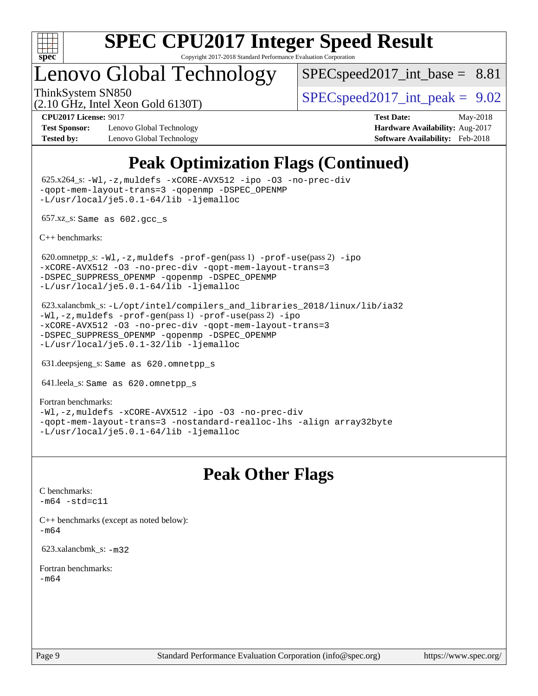

## Lenovo Global Technology

 $SPEC speed2017\_int\_base = 8.81$ 

(2.10 GHz, Intel Xeon Gold 6130T)

ThinkSystem SN850<br>  $SPEC speed2017$  int\_peak = 9.02

**[Test Sponsor:](http://www.spec.org/auto/cpu2017/Docs/result-fields.html#TestSponsor)** Lenovo Global Technology **[Hardware Availability:](http://www.spec.org/auto/cpu2017/Docs/result-fields.html#HardwareAvailability)** Aug-2017 **[Tested by:](http://www.spec.org/auto/cpu2017/Docs/result-fields.html#Testedby)** Lenovo Global Technology **[Software Availability:](http://www.spec.org/auto/cpu2017/Docs/result-fields.html#SoftwareAvailability)** Feb-2018

**[CPU2017 License:](http://www.spec.org/auto/cpu2017/Docs/result-fields.html#CPU2017License)** 9017 **[Test Date:](http://www.spec.org/auto/cpu2017/Docs/result-fields.html#TestDate)** May-2018

## **[Peak Optimization Flags \(Continued\)](http://www.spec.org/auto/cpu2017/Docs/result-fields.html#PeakOptimizationFlags)**

 625.x264\_s: [-Wl,-z,muldefs](http://www.spec.org/cpu2017/results/res2018q2/cpu2017-20180525-05789.flags.html#user_peakEXTRA_LDFLAGS625_x264_s_link_force_multiple1_b4cbdb97b34bdee9ceefcfe54f4c8ea74255f0b02a4b23e853cdb0e18eb4525ac79b5a88067c842dd0ee6996c24547a27a4b99331201badda8798ef8a743f577) [-xCORE-AVX512](http://www.spec.org/cpu2017/results/res2018q2/cpu2017-20180525-05789.flags.html#user_peakCOPTIMIZE625_x264_s_f-xCORE-AVX512) [-ipo](http://www.spec.org/cpu2017/results/res2018q2/cpu2017-20180525-05789.flags.html#user_peakCOPTIMIZE625_x264_s_f-ipo) [-O3](http://www.spec.org/cpu2017/results/res2018q2/cpu2017-20180525-05789.flags.html#user_peakCOPTIMIZE625_x264_s_f-O3) [-no-prec-div](http://www.spec.org/cpu2017/results/res2018q2/cpu2017-20180525-05789.flags.html#user_peakCOPTIMIZE625_x264_s_f-no-prec-div) [-qopt-mem-layout-trans=3](http://www.spec.org/cpu2017/results/res2018q2/cpu2017-20180525-05789.flags.html#user_peakCOPTIMIZE625_x264_s_f-qopt-mem-layout-trans_de80db37974c74b1f0e20d883f0b675c88c3b01e9d123adea9b28688d64333345fb62bc4a798493513fdb68f60282f9a726aa07f478b2f7113531aecce732043) [-qopenmp](http://www.spec.org/cpu2017/results/res2018q2/cpu2017-20180525-05789.flags.html#user_peakCOPTIMIZE625_x264_s_qopenmp_16be0c44f24f464004c6784a7acb94aca937f053568ce72f94b139a11c7c168634a55f6653758ddd83bcf7b8463e8028bb0b48b77bcddc6b78d5d95bb1df2967) [-DSPEC\\_OPENMP](http://www.spec.org/cpu2017/results/res2018q2/cpu2017-20180525-05789.flags.html#suite_peakCOPTIMIZE625_x264_s_DSPEC_OPENMP) [-L/usr/local/je5.0.1-64/lib](http://www.spec.org/cpu2017/results/res2018q2/cpu2017-20180525-05789.flags.html#user_peakEXTRA_LIBS625_x264_s_jemalloc_link_path64_4b10a636b7bce113509b17f3bd0d6226c5fb2346b9178c2d0232c14f04ab830f976640479e5c33dc2bcbbdad86ecfb6634cbbd4418746f06f368b512fced5394) [-ljemalloc](http://www.spec.org/cpu2017/results/res2018q2/cpu2017-20180525-05789.flags.html#user_peakEXTRA_LIBS625_x264_s_jemalloc_link_lib_d1249b907c500fa1c0672f44f562e3d0f79738ae9e3c4a9c376d49f265a04b9c99b167ecedbf6711b3085be911c67ff61f150a17b3472be731631ba4d0471706)

657.xz\_s: Same as 602.gcc\_s

[C++ benchmarks:](http://www.spec.org/auto/cpu2017/Docs/result-fields.html#CXXbenchmarks)

620.omnetpp\_s: $-W1$ ,-z,muldefs -prof-qen(pass 1) [-prof-use](http://www.spec.org/cpu2017/results/res2018q2/cpu2017-20180525-05789.flags.html#user_peakPASS2_CXXFLAGSPASS2_LDFLAGS620_omnetpp_s_prof_use_1a21ceae95f36a2b53c25747139a6c16ca95bd9def2a207b4f0849963b97e94f5260e30a0c64f4bb623698870e679ca08317ef8150905d41bd88c6f78df73f19)(pass 2) [-ipo](http://www.spec.org/cpu2017/results/res2018q2/cpu2017-20180525-05789.flags.html#user_peakPASS1_CXXOPTIMIZEPASS2_CXXOPTIMIZE620_omnetpp_s_f-ipo) [-xCORE-AVX512](http://www.spec.org/cpu2017/results/res2018q2/cpu2017-20180525-05789.flags.html#user_peakPASS2_CXXOPTIMIZE620_omnetpp_s_f-xCORE-AVX512) [-O3](http://www.spec.org/cpu2017/results/res2018q2/cpu2017-20180525-05789.flags.html#user_peakPASS1_CXXOPTIMIZEPASS2_CXXOPTIMIZE620_omnetpp_s_f-O3) [-no-prec-div](http://www.spec.org/cpu2017/results/res2018q2/cpu2017-20180525-05789.flags.html#user_peakPASS1_CXXOPTIMIZEPASS2_CXXOPTIMIZE620_omnetpp_s_f-no-prec-div) [-qopt-mem-layout-trans=3](http://www.spec.org/cpu2017/results/res2018q2/cpu2017-20180525-05789.flags.html#user_peakPASS1_CXXOPTIMIZEPASS2_CXXOPTIMIZE620_omnetpp_s_f-qopt-mem-layout-trans_de80db37974c74b1f0e20d883f0b675c88c3b01e9d123adea9b28688d64333345fb62bc4a798493513fdb68f60282f9a726aa07f478b2f7113531aecce732043) [-DSPEC\\_SUPPRESS\\_OPENMP](http://www.spec.org/cpu2017/results/res2018q2/cpu2017-20180525-05789.flags.html#suite_peakPASS1_CXXOPTIMIZE620_omnetpp_s_DSPEC_SUPPRESS_OPENMP) [-qopenmp](http://www.spec.org/cpu2017/results/res2018q2/cpu2017-20180525-05789.flags.html#user_peakPASS2_CXXOPTIMIZE620_omnetpp_s_qopenmp_16be0c44f24f464004c6784a7acb94aca937f053568ce72f94b139a11c7c168634a55f6653758ddd83bcf7b8463e8028bb0b48b77bcddc6b78d5d95bb1df2967) [-DSPEC\\_OPENMP](http://www.spec.org/cpu2017/results/res2018q2/cpu2017-20180525-05789.flags.html#suite_peakPASS2_CXXOPTIMIZE620_omnetpp_s_DSPEC_OPENMP) [-L/usr/local/je5.0.1-64/lib](http://www.spec.org/cpu2017/results/res2018q2/cpu2017-20180525-05789.flags.html#user_peakEXTRA_LIBS620_omnetpp_s_jemalloc_link_path64_4b10a636b7bce113509b17f3bd0d6226c5fb2346b9178c2d0232c14f04ab830f976640479e5c33dc2bcbbdad86ecfb6634cbbd4418746f06f368b512fced5394) [-ljemalloc](http://www.spec.org/cpu2017/results/res2018q2/cpu2017-20180525-05789.flags.html#user_peakEXTRA_LIBS620_omnetpp_s_jemalloc_link_lib_d1249b907c500fa1c0672f44f562e3d0f79738ae9e3c4a9c376d49f265a04b9c99b167ecedbf6711b3085be911c67ff61f150a17b3472be731631ba4d0471706)

 623.xalancbmk\_s: [-L/opt/intel/compilers\\_and\\_libraries\\_2018/linux/lib/ia32](http://www.spec.org/cpu2017/results/res2018q2/cpu2017-20180525-05789.flags.html#user_peakCXXLD623_xalancbmk_s_Enable-32bit-runtime_af243bdb1d79e4c7a4f720bf8275e627de2ecd461de63307bc14cef0633fde3cd7bb2facb32dcc8be9566045fb55d40ce2b72b725f73827aa7833441b71b9343) [-Wl,-z,muldefs](http://www.spec.org/cpu2017/results/res2018q2/cpu2017-20180525-05789.flags.html#user_peakEXTRA_LDFLAGS623_xalancbmk_s_link_force_multiple1_b4cbdb97b34bdee9ceefcfe54f4c8ea74255f0b02a4b23e853cdb0e18eb4525ac79b5a88067c842dd0ee6996c24547a27a4b99331201badda8798ef8a743f577) [-prof-gen](http://www.spec.org/cpu2017/results/res2018q2/cpu2017-20180525-05789.flags.html#user_peakPASS1_CXXFLAGSPASS1_LDFLAGS623_xalancbmk_s_prof_gen_5aa4926d6013ddb2a31985c654b3eb18169fc0c6952a63635c234f711e6e63dd76e94ad52365559451ec499a2cdb89e4dc58ba4c67ef54ca681ffbe1461d6b36)(pass 1) [-prof-use](http://www.spec.org/cpu2017/results/res2018q2/cpu2017-20180525-05789.flags.html#user_peakPASS2_CXXFLAGSPASS2_LDFLAGS623_xalancbmk_s_prof_use_1a21ceae95f36a2b53c25747139a6c16ca95bd9def2a207b4f0849963b97e94f5260e30a0c64f4bb623698870e679ca08317ef8150905d41bd88c6f78df73f19)(pass 2) [-ipo](http://www.spec.org/cpu2017/results/res2018q2/cpu2017-20180525-05789.flags.html#user_peakPASS1_CXXOPTIMIZEPASS2_CXXOPTIMIZE623_xalancbmk_s_f-ipo) [-xCORE-AVX512](http://www.spec.org/cpu2017/results/res2018q2/cpu2017-20180525-05789.flags.html#user_peakPASS2_CXXOPTIMIZE623_xalancbmk_s_f-xCORE-AVX512) [-O3](http://www.spec.org/cpu2017/results/res2018q2/cpu2017-20180525-05789.flags.html#user_peakPASS1_CXXOPTIMIZEPASS2_CXXOPTIMIZE623_xalancbmk_s_f-O3) [-no-prec-div](http://www.spec.org/cpu2017/results/res2018q2/cpu2017-20180525-05789.flags.html#user_peakPASS1_CXXOPTIMIZEPASS2_CXXOPTIMIZE623_xalancbmk_s_f-no-prec-div) [-qopt-mem-layout-trans=3](http://www.spec.org/cpu2017/results/res2018q2/cpu2017-20180525-05789.flags.html#user_peakPASS1_CXXOPTIMIZEPASS2_CXXOPTIMIZE623_xalancbmk_s_f-qopt-mem-layout-trans_de80db37974c74b1f0e20d883f0b675c88c3b01e9d123adea9b28688d64333345fb62bc4a798493513fdb68f60282f9a726aa07f478b2f7113531aecce732043) [-DSPEC\\_SUPPRESS\\_OPENMP](http://www.spec.org/cpu2017/results/res2018q2/cpu2017-20180525-05789.flags.html#suite_peakPASS1_CXXOPTIMIZE623_xalancbmk_s_DSPEC_SUPPRESS_OPENMP) [-qopenmp](http://www.spec.org/cpu2017/results/res2018q2/cpu2017-20180525-05789.flags.html#user_peakPASS2_CXXOPTIMIZE623_xalancbmk_s_qopenmp_16be0c44f24f464004c6784a7acb94aca937f053568ce72f94b139a11c7c168634a55f6653758ddd83bcf7b8463e8028bb0b48b77bcddc6b78d5d95bb1df2967) [-DSPEC\\_OPENMP](http://www.spec.org/cpu2017/results/res2018q2/cpu2017-20180525-05789.flags.html#suite_peakPASS2_CXXOPTIMIZE623_xalancbmk_s_DSPEC_OPENMP) [-L/usr/local/je5.0.1-32/lib](http://www.spec.org/cpu2017/results/res2018q2/cpu2017-20180525-05789.flags.html#user_peakEXTRA_LIBS623_xalancbmk_s_jemalloc_link_path32_e29f22e8e6c17053bbc6a0971f5a9c01a601a06bb1a59df2084b77a2fe0a2995b64fd4256feaeea39eeba3aae142e96e2b2b0a28974019c0c0c88139a84f900a) [-ljemalloc](http://www.spec.org/cpu2017/results/res2018q2/cpu2017-20180525-05789.flags.html#user_peakEXTRA_LIBS623_xalancbmk_s_jemalloc_link_lib_d1249b907c500fa1c0672f44f562e3d0f79738ae9e3c4a9c376d49f265a04b9c99b167ecedbf6711b3085be911c67ff61f150a17b3472be731631ba4d0471706)

631.deepsjeng\_s: Same as 620.omnetpp\_s

641.leela\_s: Same as 620.omnetpp\_s

[Fortran benchmarks](http://www.spec.org/auto/cpu2017/Docs/result-fields.html#Fortranbenchmarks): [-Wl,-z,muldefs](http://www.spec.org/cpu2017/results/res2018q2/cpu2017-20180525-05789.flags.html#user_FCpeak_link_force_multiple1_b4cbdb97b34bdee9ceefcfe54f4c8ea74255f0b02a4b23e853cdb0e18eb4525ac79b5a88067c842dd0ee6996c24547a27a4b99331201badda8798ef8a743f577) [-xCORE-AVX512](http://www.spec.org/cpu2017/results/res2018q2/cpu2017-20180525-05789.flags.html#user_FCpeak_f-xCORE-AVX512) [-ipo](http://www.spec.org/cpu2017/results/res2018q2/cpu2017-20180525-05789.flags.html#user_FCpeak_f-ipo) [-O3](http://www.spec.org/cpu2017/results/res2018q2/cpu2017-20180525-05789.flags.html#user_FCpeak_f-O3) [-no-prec-div](http://www.spec.org/cpu2017/results/res2018q2/cpu2017-20180525-05789.flags.html#user_FCpeak_f-no-prec-div) [-qopt-mem-layout-trans=3](http://www.spec.org/cpu2017/results/res2018q2/cpu2017-20180525-05789.flags.html#user_FCpeak_f-qopt-mem-layout-trans_de80db37974c74b1f0e20d883f0b675c88c3b01e9d123adea9b28688d64333345fb62bc4a798493513fdb68f60282f9a726aa07f478b2f7113531aecce732043) [-nostandard-realloc-lhs](http://www.spec.org/cpu2017/results/res2018q2/cpu2017-20180525-05789.flags.html#user_FCpeak_f_2003_std_realloc_82b4557e90729c0f113870c07e44d33d6f5a304b4f63d4c15d2d0f1fab99f5daaed73bdb9275d9ae411527f28b936061aa8b9c8f2d63842963b95c9dd6426b8a) [-align array32byte](http://www.spec.org/cpu2017/results/res2018q2/cpu2017-20180525-05789.flags.html#user_FCpeak_align_array32byte_b982fe038af199962ba9a80c053b8342c548c85b40b8e86eb3cc33dee0d7986a4af373ac2d51c3f7cf710a18d62fdce2948f201cd044323541f22fc0fffc51b6) [-L/usr/local/je5.0.1-64/lib](http://www.spec.org/cpu2017/results/res2018q2/cpu2017-20180525-05789.flags.html#user_FCpeak_jemalloc_link_path64_4b10a636b7bce113509b17f3bd0d6226c5fb2346b9178c2d0232c14f04ab830f976640479e5c33dc2bcbbdad86ecfb6634cbbd4418746f06f368b512fced5394) [-ljemalloc](http://www.spec.org/cpu2017/results/res2018q2/cpu2017-20180525-05789.flags.html#user_FCpeak_jemalloc_link_lib_d1249b907c500fa1c0672f44f562e3d0f79738ae9e3c4a9c376d49f265a04b9c99b167ecedbf6711b3085be911c67ff61f150a17b3472be731631ba4d0471706)

## **[Peak Other Flags](http://www.spec.org/auto/cpu2017/Docs/result-fields.html#PeakOtherFlags)**

[C benchmarks](http://www.spec.org/auto/cpu2017/Docs/result-fields.html#Cbenchmarks):  $-m64 - std= c11$  $-m64 - std= c11$ 

[C++ benchmarks \(except as noted below\):](http://www.spec.org/auto/cpu2017/Docs/result-fields.html#CXXbenchmarksexceptasnotedbelow) [-m64](http://www.spec.org/cpu2017/results/res2018q2/cpu2017-20180525-05789.flags.html#user_CXXpeak_intel_intel64_18.0_af43caccfc8ded86e7699f2159af6efc7655f51387b94da716254467f3c01020a5059329e2569e4053f409e7c9202a7efc638f7a6d1ffb3f52dea4a3e31d82ab)

623.xalancbmk\_s: [-m32](http://www.spec.org/cpu2017/results/res2018q2/cpu2017-20180525-05789.flags.html#user_peakCXXLD623_xalancbmk_s_intel_ia32_18.0_2666f1173eb60787016b673bfe1358e27016ef7649ea4884b7bc6187fd89dc221d14632e22638cde1c647a518de97358ab15d4ad098ee4e19a8b28d0c25e14bf)

[Fortran benchmarks](http://www.spec.org/auto/cpu2017/Docs/result-fields.html#Fortranbenchmarks): [-m64](http://www.spec.org/cpu2017/results/res2018q2/cpu2017-20180525-05789.flags.html#user_FCpeak_intel_intel64_18.0_af43caccfc8ded86e7699f2159af6efc7655f51387b94da716254467f3c01020a5059329e2569e4053f409e7c9202a7efc638f7a6d1ffb3f52dea4a3e31d82ab)